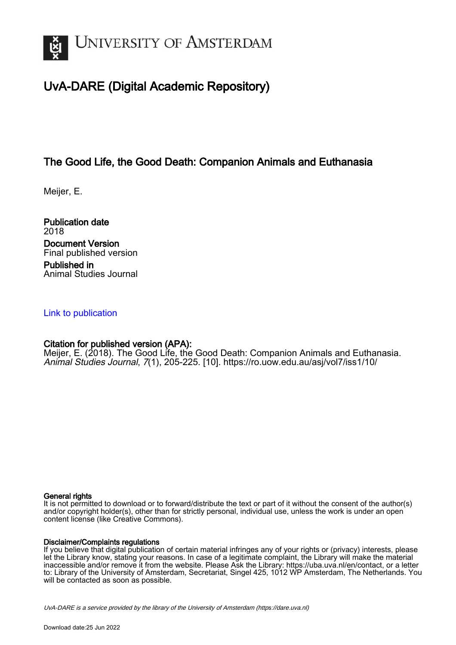

# UvA-DARE (Digital Academic Repository)

# The Good Life, the Good Death: Companion Animals and Euthanasia

Meijer, E.

Publication date 2018 Document Version Final published version Published in Animal Studies Journal

# [Link to publication](https://dare.uva.nl/personal/pure/en/publications/the-good-life-the-good-death-companion-animals-and-euthanasia(cb05965f-8423-4d74-ad3d-f8c61d9d2500).html)

# Citation for published version (APA):

Meijer, E. (2018). The Good Life, the Good Death: Companion Animals and Euthanasia. Animal Studies Journal, 7(1), 205-225. [10]. <https://ro.uow.edu.au/asj/vol7/iss1/10/>

#### General rights

It is not permitted to download or to forward/distribute the text or part of it without the consent of the author(s) and/or copyright holder(s), other than for strictly personal, individual use, unless the work is under an open content license (like Creative Commons).

#### Disclaimer/Complaints regulations

If you believe that digital publication of certain material infringes any of your rights or (privacy) interests, please let the Library know, stating your reasons. In case of a legitimate complaint, the Library will make the material inaccessible and/or remove it from the website. Please Ask the Library: https://uba.uva.nl/en/contact, or a letter to: Library of the University of Amsterdam, Secretariat, Singel 425, 1012 WP Amsterdam, The Netherlands. You will be contacted as soon as possible.

UvA-DARE is a service provided by the library of the University of Amsterdam (http*s*://dare.uva.nl)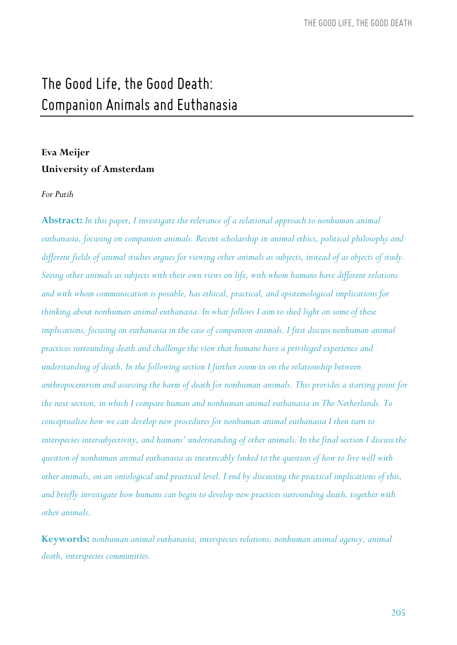# *The Good Life, the Good Death: Companion Animals and Euthanasia*

# **Eva Meijer University of Amsterdam**

#### *For Putih*

**Abstract:** *In this paper, I investigate the relevance of a relational approach to nonhuman animal euthanasia, focusing on companion animals. Recent scholarship in animal ethics, political philosophy and different fields of animal studies argues for viewing other animals as subjects, instead of as objects of study. Seeing other animals as subjects with their own views on life, with whom humans have different relations and with whom communication is possible, has ethical, practical, and epistemological implications for thinking about nonhuman animal euthanasia. In what follows I aim to shed light on some of these*  implications, focusing on euthanasia in the case of companion animals. I first discuss nonhuman animal *practices surrounding death and challenge the view that humans have a privileged experience and understanding of death. In the following section I further zoom in on the relationship between anthropocentrism and assessing the harm of death for nonhuman animals. This provides a starting point for the next section, in which I compare human and nonhuman animal euthanasia in The Netherlands. To conceptualize how we can develop new procedures for nonhuman animal euthanasia I then turn to interspecies intersubjectivity, and humans' understanding of other animals. In the final section I discuss the question of nonhuman animal euthanasia as inextricably linked to the question of how to live well with other animals, on an ontological and practical level. I end by discussing the practical implications of this, and briefly investigate how humans can begin to develop new practices surrounding death, together with other animals.*

**Keywords:** *nonhuman animal euthanasia, interspecies relations, nonhuman animal agency, animal death, interspecies communities.*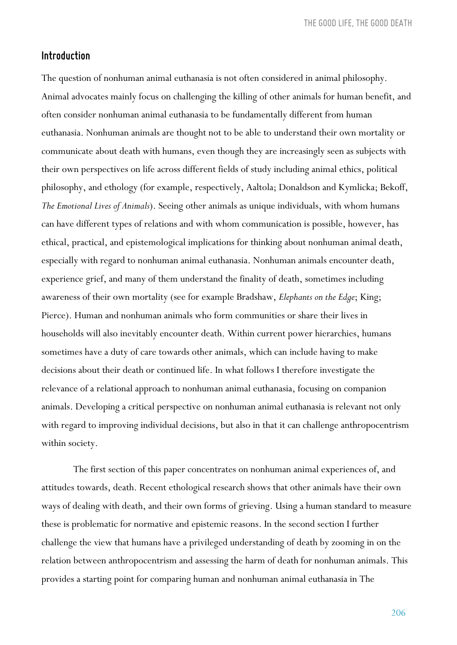*THE GOOD LIFE, THE GOOD DEATH*

## *Introduction*

The question of nonhuman animal euthanasia is not often considered in animal philosophy. Animal advocates mainly focus on challenging the killing of other animals for human benefit, and often consider nonhuman animal euthanasia to be fundamentally different from human euthanasia. Nonhuman animals are thought not to be able to understand their own mortality or communicate about death with humans, even though they are increasingly seen as subjects with their own perspectives on life across different fields of study including animal ethics, political philosophy, and ethology (for example, respectively, Aaltola; Donaldson and Kymlicka; Bekoff, *The Emotional Lives of Animals*). Seeing other animals as unique individuals, with whom humans can have different types of relations and with whom communication is possible, however, has ethical, practical, and epistemological implications for thinking about nonhuman animal death, especially with regard to nonhuman animal euthanasia. Nonhuman animals encounter death, experience grief, and many of them understand the finality of death, sometimes including awareness of their own mortality (see for example Bradshaw, *Elephants on the Edge*; King; Pierce). Human and nonhuman animals who form communities or share their lives in households will also inevitably encounter death. Within current power hierarchies, humans sometimes have a duty of care towards other animals, which can include having to make decisions about their death or continued life. In what follows I therefore investigate the relevance of a relational approach to nonhuman animal euthanasia, focusing on companion animals. Developing a critical perspective on nonhuman animal euthanasia is relevant not only with regard to improving individual decisions, but also in that it can challenge anthropocentrism within society.

The first section of this paper concentrates on nonhuman animal experiences of, and attitudes towards, death. Recent ethological research shows that other animals have their own ways of dealing with death, and their own forms of grieving. Using a human standard to measure these is problematic for normative and epistemic reasons. In the second section I further challenge the view that humans have a privileged understanding of death by zooming in on the relation between anthropocentrism and assessing the harm of death for nonhuman animals. This provides a starting point for comparing human and nonhuman animal euthanasia in The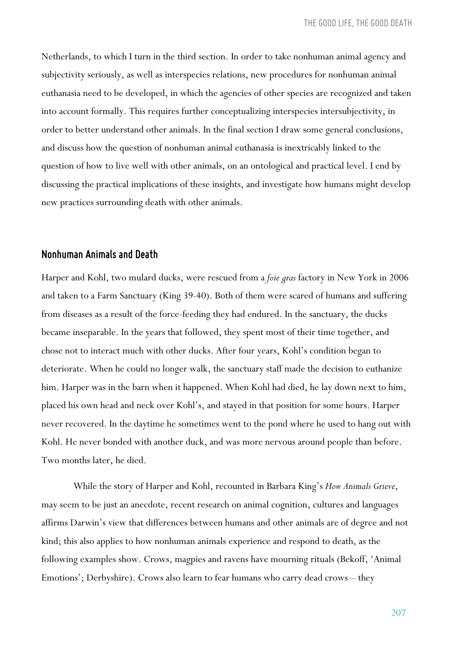Netherlands, to which I turn in the third section. In order to take nonhuman animal agency and subjectivity seriously, as well as interspecies relations, new procedures for nonhuman animal euthanasia need to be developed, in which the agencies of other species are recognized and taken into account formally. This requires further conceptualizing interspecies intersubjectivity, in order to better understand other animals. In the final section I draw some general conclusions, and discuss how the question of nonhuman animal euthanasia is inextricably linked to the question of how to live well with other animals, on an ontological and practical level. I end by discussing the practical implications of these insights, and investigate how humans might develop new practices surrounding death with other animals.

#### *Nonhuman Animals and Death*

Harper and Kohl, two mulard ducks, were rescued from a *foie gras* factory in New York in 2006 and taken to a Farm Sanctuary (King 39-40). Both of them were scared of humans and suffering from diseases as a result of the force-feeding they had endured. In the sanctuary, the ducks became inseparable. In the years that followed, they spent most of their time together, and chose not to interact much with other ducks. After four years, Kohl's condition began to deteriorate. When he could no longer walk, the sanctuary staff made the decision to euthanize him. Harper was in the barn when it happened. When Kohl had died, he lay down next to him, placed his own head and neck over Kohl's, and stayed in that position for some hours. Harper never recovered. In the daytime he sometimes went to the pond where he used to hang out with Kohl. He never bonded with another duck, and was more nervous around people than before. Two months later, he died.

While the story of Harper and Kohl, recounted in Barbara King's *How Animals Grieve*, may seem to be just an anecdote, recent research on animal cognition, cultures and languages affirms Darwin's view that differences between humans and other animals are of degree and not kind; this also applies to how nonhuman animals experience and respond to death, as the following examples show. Crows, magpies and ravens have mourning rituals (Bekoff, 'Animal Emotions'; Derbyshire). Crows also learn to fear humans who carry dead crows – they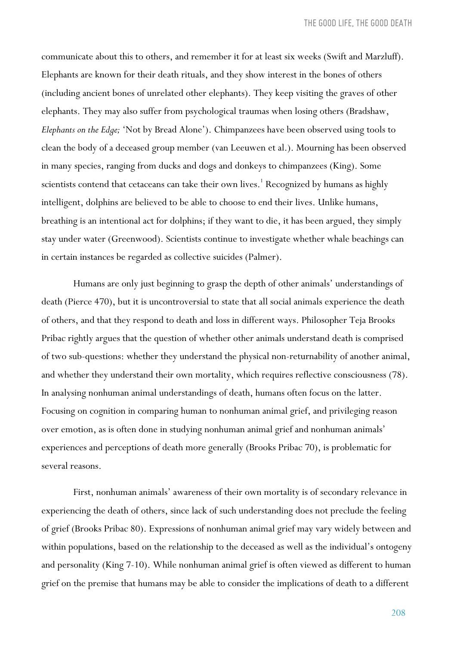communicate about this to others, and remember it for at least six weeks (Swift and Marzluff). Elephants are known for their death rituals, and they show interest in the bones of others (including ancient bones of unrelated other elephants). They keep visiting the graves of other elephants. They may also suffer from psychological traumas when losing others (Bradshaw, *Elephants on the Edge;* 'Not by Bread Alone'). Chimpanzees have been observed using tools to clean the body of a deceased group member (van Leeuwen et al.). Mourning has been observed in many species, ranging from ducks and dogs and donkeys to chimpanzees (King). Some scientists contend that cetaceans can take their own lives.<sup>1</sup> Recognized by humans as highly intelligent, dolphins are believed to be able to choose to end their lives. Unlike humans, breathing is an intentional act for dolphins; if they want to die, it has been argued, they simply stay under water (Greenwood). Scientists continue to investigate whether whale beachings can in certain instances be regarded as collective suicides (Palmer).

Humans are only just beginning to grasp the depth of other animals' understandings of death (Pierce 470), but it is uncontroversial to state that all social animals experience the death of others, and that they respond to death and loss in different ways. Philosopher Teja Brooks Pribac rightly argues that the question of whether other animals understand death is comprised of two sub-questions: whether they understand the physical non-returnability of another animal, and whether they understand their own mortality, which requires reflective consciousness (78). In analysing nonhuman animal understandings of death, humans often focus on the latter. Focusing on cognition in comparing human to nonhuman animal grief, and privileging reason over emotion, as is often done in studying nonhuman animal grief and nonhuman animals' experiences and perceptions of death more generally (Brooks Pribac 70), is problematic for several reasons.

First, nonhuman animals' awareness of their own mortality is of secondary relevance in experiencing the death of others, since lack of such understanding does not preclude the feeling of grief (Brooks Pribac 80). Expressions of nonhuman animal grief may vary widely between and within populations, based on the relationship to the deceased as well as the individual's ontogeny and personality (King 7-10). While nonhuman animal grief is often viewed as different to human grief on the premise that humans may be able to consider the implications of death to a different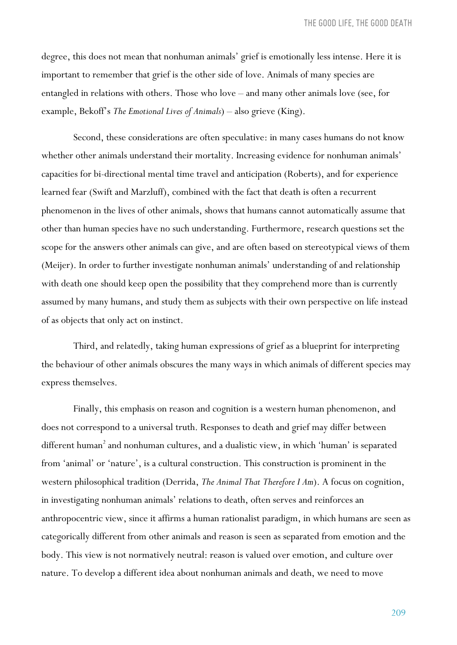degree, this does not mean that nonhuman animals' grief is emotionally less intense. Here it is important to remember that grief is the other side of love. Animals of many species are entangled in relations with others. Those who love – and many other animals love (see, for example, Bekoff's *The Emotional Lives of Animals*) – also grieve (King).

Second, these considerations are often speculative: in many cases humans do not know whether other animals understand their mortality. Increasing evidence for nonhuman animals' capacities for bi-directional mental time travel and anticipation (Roberts), and for experience learned fear (Swift and Marzluff), combined with the fact that death is often a recurrent phenomenon in the lives of other animals, shows that humans cannot automatically assume that other than human species have no such understanding. Furthermore, research questions set the scope for the answers other animals can give, and are often based on stereotypical views of them (Meijer). In order to further investigate nonhuman animals' understanding of and relationship with death one should keep open the possibility that they comprehend more than is currently assumed by many humans, and study them as subjects with their own perspective on life instead of as objects that only act on instinct.

Third, and relatedly, taking human expressions of grief as a blueprint for interpreting the behaviour of other animals obscures the many ways in which animals of different species may express themselves.

Finally, this emphasis on reason and cognition is a western human phenomenon, and does not correspond to a universal truth. Responses to death and grief may differ between different human<sup>2</sup> and nonhuman cultures, and a dualistic view, in which 'human' is separated from 'animal' or 'nature', is a cultural construction. This construction is prominent in the western philosophical tradition (Derrida, *The Animal That Therefore I Am*). A focus on cognition, in investigating nonhuman animals' relations to death, often serves and reinforces an anthropocentric view, since it affirms a human rationalist paradigm, in which humans are seen as categorically different from other animals and reason is seen as separated from emotion and the body. This view is not normatively neutral: reason is valued over emotion, and culture over nature. To develop a different idea about nonhuman animals and death, we need to move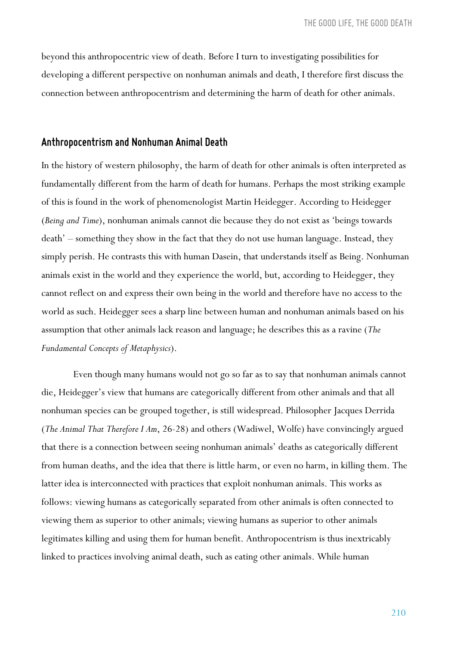beyond this anthropocentric view of death. Before I turn to investigating possibilities for developing a different perspective on nonhuman animals and death, I therefore first discuss the connection between anthropocentrism and determining the harm of death for other animals.

#### *Anthropocentrism and Nonhuman Animal Death*

In the history of western philosophy, the harm of death for other animals is often interpreted as fundamentally different from the harm of death for humans. Perhaps the most striking example of this is found in the work of phenomenologist Martin Heidegger. According to Heidegger (*Being and Time*), nonhuman animals cannot die because they do not exist as 'beings towards death' – something they show in the fact that they do not use human language. Instead, they simply perish. He contrasts this with human Dasein, that understands itself as Being. Nonhuman animals exist in the world and they experience the world, but, according to Heidegger, they cannot reflect on and express their own being in the world and therefore have no access to the world as such. Heidegger sees a sharp line between human and nonhuman animals based on his assumption that other animals lack reason and language; he describes this as a ravine (*The Fundamental Concepts of Metaphysics*).

Even though many humans would not go so far as to say that nonhuman animals cannot die, Heidegger's view that humans are categorically different from other animals and that all nonhuman species can be grouped together, is still widespread. Philosopher Jacques Derrida (*The Animal That Therefore I Am*, 26-28) and others (Wadiwel, Wolfe) have convincingly argued that there is a connection between seeing nonhuman animals' deaths as categorically different from human deaths, and the idea that there is little harm, or even no harm, in killing them. The latter idea is interconnected with practices that exploit nonhuman animals. This works as follows: viewing humans as categorically separated from other animals is often connected to viewing them as superior to other animals; viewing humans as superior to other animals legitimates killing and using them for human benefit. Anthropocentrism is thus inextricably linked to practices involving animal death, such as eating other animals. While human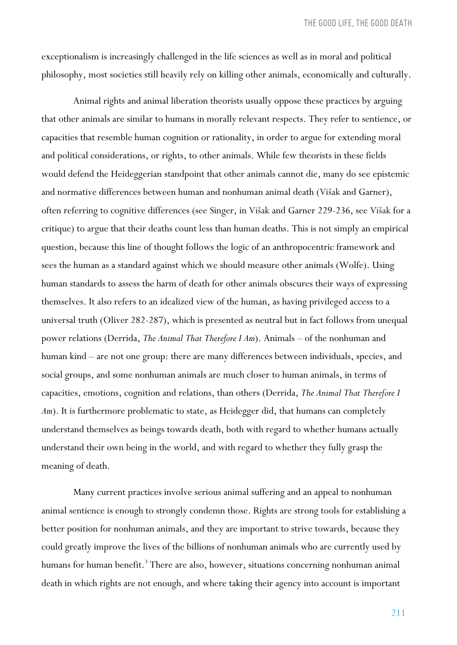exceptionalism is increasingly challenged in the life sciences as well as in moral and political philosophy, most societies still heavily rely on killing other animals, economically and culturally.

Animal rights and animal liberation theorists usually oppose these practices by arguing that other animals are similar to humans in morally relevant respects. They refer to sentience, or capacities that resemble human cognition or rationality, in order to argue for extending moral and political considerations, or rights, to other animals. While few theorists in these fields would defend the Heideggerian standpoint that other animals cannot die, many do see epistemic and normative differences between human and nonhuman animal death (Višak and Garner), often referring to cognitive differences (see Singer, in Višak and Garner 229-236, see Višak for a critique) to argue that their deaths count less than human deaths. This is not simply an empirical question, because this line of thought follows the logic of an anthropocentric framework and sees the human as a standard against which we should measure other animals (Wolfe). Using human standards to assess the harm of death for other animals obscures their ways of expressing themselves. It also refers to an idealized view of the human, as having privileged access to a universal truth (Oliver 282-287), which is presented as neutral but in fact follows from unequal power relations (Derrida, *The Animal That Therefore I Am*). Animals – of the nonhuman and human kind – are not one group: there are many differences between individuals, species, and social groups, and some nonhuman animals are much closer to human animals, in terms of capacities, emotions, cognition and relations, than others (Derrida, *The Animal That Therefore I*  Am). It is furthermore problematic to state, as Heidegger did, that humans can completely understand themselves as beings towards death, both with regard to whether humans actually understand their own being in the world, and with regard to whether they fully grasp the meaning of death.

Many current practices involve serious animal suffering and an appeal to nonhuman animal sentience is enough to strongly condemn those. Rights are strong tools for establishing a better position for nonhuman animals, and they are important to strive towards, because they could greatly improve the lives of the billions of nonhuman animals who are currently used by humans for human benefit.<sup>3</sup> There are also, however, situations concerning nonhuman animal death in which rights are not enough, and where taking their agency into account is important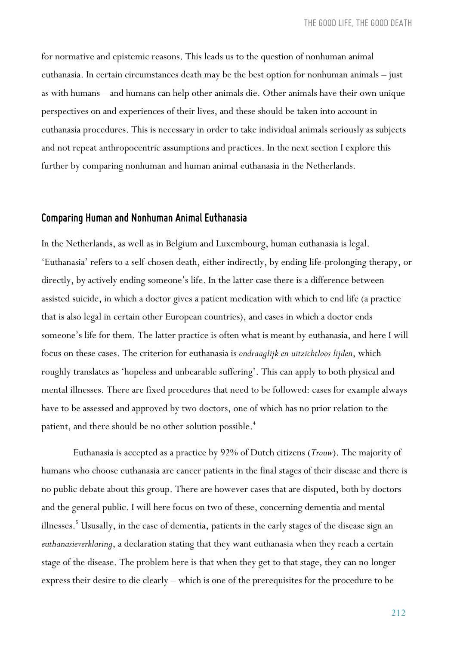for normative and epistemic reasons. This leads us to the question of nonhuman animal euthanasia. In certain circumstances death may be the best option for nonhuman animals – just as with humans – and humans can help other animals die. Other animals have their own unique perspectives on and experiences of their lives, and these should be taken into account in euthanasia procedures. This is necessary in order to take individual animals seriously as subjects and not repeat anthropocentric assumptions and practices. In the next section I explore this further by comparing nonhuman and human animal euthanasia in the Netherlands.

## *Comparing Humanand Nonhuman Animal Euthanasia*

In the Netherlands, as well as in Belgium and Luxembourg, human euthanasia is legal. 'Euthanasia' refers to a self-chosen death, either indirectly, by ending life-prolonging therapy, or directly, by actively ending someone's life. In the latter case there is a difference between assisted suicide, in which a doctor gives a patient medication with which to end life (a practice that is also legal in certain other European countries), and cases in which a doctor ends someone's life for them. The latter practice is often what is meant by euthanasia, and here I will focus on these cases. The criterion for euthanasia is *ondraaglijk en uitzichtloos lijden*, which roughly translates as 'hopeless and unbearable suffering'. This can apply to both physical and mental illnesses. There are fixed procedures that need to be followed: cases for example always have to be assessed and approved by two doctors, one of which has no prior relation to the patient, and there should be no other solution possible.<sup>4</sup>

Euthanasia is accepted as a practice by 92% of Dutch citizens (*Trouw*). The majority of humans who choose euthanasia are cancer patients in the final stages of their disease and there is no public debate about this group. There are however cases that are disputed, both by doctors and the general public. I will here focus on two of these, concerning dementia and mental illnesses.<sup>5</sup> Ususally, in the case of dementia, patients in the early stages of the disease sign an *euthanasieverklaring*, a declaration stating that they want euthanasia when they reach a certain stage of the disease. The problem here is that when they get to that stage, they can no longer express their desire to die clearly – which is one of the prerequisites for the procedure to be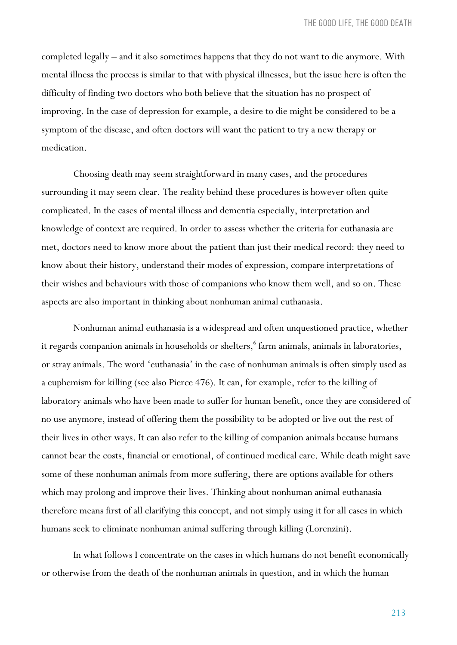completed legally – and it also sometimes happens that they do not want to die anymore. With mental illness the process is similar to that with physical illnesses, but the issue here is often the difficulty of finding two doctors who both believe that the situation has no prospect of improving. In the case of depression for example, a desire to die might be considered to be a symptom of the disease, and often doctors will want the patient to try a new therapy or medication.

Choosing death may seem straightforward in many cases, and the procedures surrounding it may seem clear. The reality behind these procedures is however often quite complicated. In the cases of mental illness and dementia especially, interpretation and knowledge of context are required. In order to assess whether the criteria for euthanasia are met, doctors need to know more about the patient than just their medical record: they need to know about their history, understand their modes of expression, compare interpretations of their wishes and behaviours with those of companions who know them well, and so on. These aspects are also important in thinking about nonhuman animal euthanasia.

Nonhuman animal euthanasia is a widespread and often unquestioned practice, whether it regards companion animals in households or shelters,<sup>6</sup> farm animals, animals in laboratories, or stray animals. The word 'euthanasia' in the case of nonhuman animals is often simply used as a euphemism for killing (see also Pierce 476). It can, for example, refer to the killing of laboratory animals who have been made to suffer for human benefit, once they are considered of no use anymore, instead of offering them the possibility to be adopted or live out the rest of their lives in other ways. It can also refer to the killing of companion animals because humans cannot bear the costs, financial or emotional, of continued medical care. While death might save some of these nonhuman animals from more suffering, there are options available for others which may prolong and improve their lives. Thinking about nonhuman animal euthanasia therefore means first of all clarifying this concept, and not simply using it for all cases in which humans seek to eliminate nonhuman animal suffering through killing (Lorenzini).

In what follows I concentrate on the cases in which humans do not benefit economically or otherwise from the death of the nonhuman animals in question, and in which the human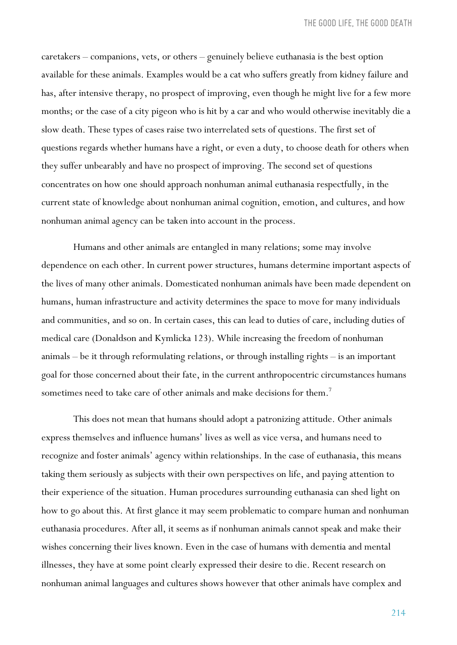caretakers – companions, vets, or others – genuinely believe euthanasia is the best option available for these animals. Examples would be a cat who suffers greatly from kidney failure and has, after intensive therapy, no prospect of improving, even though he might live for a few more months; or the case of a city pigeon who is hit by a car and who would otherwise inevitably die a slow death. These types of cases raise two interrelated sets of questions. The first set of questions regards whether humans have a right, or even a duty, to choose death for others when they suffer unbearably and have no prospect of improving. The second set of questions concentrates on how one should approach nonhuman animal euthanasia respectfully, in the current state of knowledge about nonhuman animal cognition, emotion, and cultures, and how nonhuman animal agency can be taken into account in the process.

Humans and other animals are entangled in many relations; some may involve dependence on each other. In current power structures, humans determine important aspects of the lives of many other animals. Domesticated nonhuman animals have been made dependent on humans, human infrastructure and activity determines the space to move for many individuals and communities, and so on. In certain cases, this can lead to duties of care, including duties of medical care (Donaldson and Kymlicka 123). While increasing the freedom of nonhuman animals – be it through reformulating relations, or through installing rights – is an important goal for those concerned about their fate, in the current anthropocentric circumstances humans sometimes need to take care of other animals and make decisions for them.<sup>7</sup>

This does not mean that humans should adopt a patronizing attitude. Other animals express themselves and influence humans' lives as well as vice versa, and humans need to recognize and foster animals' agency within relationships. In the case of euthanasia, this means taking them seriously as subjects with their own perspectives on life, and paying attention to their experience of the situation. Human procedures surrounding euthanasia can shed light on how to go about this. At first glance it may seem problematic to compare human and nonhuman euthanasia procedures. After all, it seems as if nonhuman animals cannot speak and make their wishes concerning their lives known. Even in the case of humans with dementia and mental illnesses, they have at some point clearly expressed their desire to die. Recent research on nonhuman animal languages and cultures shows however that other animals have complex and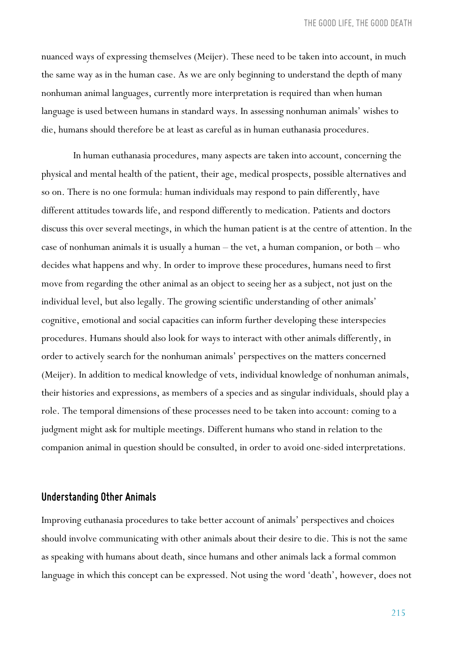nuanced ways of expressing themselves (Meijer). These need to be taken into account, in much the same way as in the human case. As we are only beginning to understand the depth of many nonhuman animal languages, currently more interpretation is required than when human language is used between humans in standard ways. In assessing nonhuman animals' wishes to die, humans should therefore be at least as careful as in human euthanasia procedures.

In human euthanasia procedures, many aspects are taken into account, concerning the physical and mental health of the patient, their age, medical prospects, possible alternatives and so on. There is no one formula: human individuals may respond to pain differently, have different attitudes towards life, and respond differently to medication. Patients and doctors discuss this over several meetings, in which the human patient is at the centre of attention. In the case of nonhuman animals it is usually a human – the vet, a human companion, or both – who decides what happens and why. In order to improve these procedures, humans need to first move from regarding the other animal as an object to seeing her as a subject, not just on the individual level, but also legally. The growing scientific understanding of other animals' cognitive, emotional and social capacities can inform further developing these interspecies procedures. Humans should also look for ways to interact with other animals differently, in order to actively search for the nonhuman animals' perspectives on the matters concerned (Meijer). In addition to medical knowledge of vets, individual knowledge of nonhuman animals, their histories and expressions, as members of a species and as singular individuals, should play a role. The temporal dimensions of these processes need to be taken into account: coming to a judgment might ask for multiple meetings. Different humans who stand in relation to the companion animal in question should be consulted, in order to avoid one-sided interpretations.

## *Understanding Other Animals*

Improving euthanasia procedures to take better account of animals' perspectives and choices should involve communicating with other animals about their desire to die. This is not the same as speaking with humans about death, since humans and other animals lack a formal common language in which this concept can be expressed. Not using the word 'death', however, does not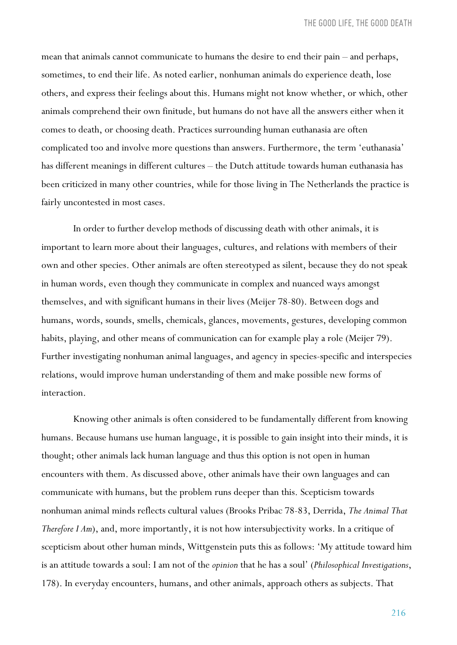mean that animals cannot communicate to humans the desire to end their pain – and perhaps, sometimes, to end their life. As noted earlier, nonhuman animals do experience death, lose others, and express their feelings about this. Humans might not know whether, or which, other animals comprehend their own finitude, but humans do not have all the answers either when it comes to death, or choosing death. Practices surrounding human euthanasia are often complicated too and involve more questions than answers. Furthermore, the term 'euthanasia' has different meanings in different cultures – the Dutch attitude towards human euthanasia has been criticized in many other countries, while for those living in The Netherlands the practice is fairly uncontested in most cases.

In order to further develop methods of discussing death with other animals, it is important to learn more about their languages, cultures, and relations with members of their own and other species. Other animals are often stereotyped as silent, because they do not speak in human words, even though they communicate in complex and nuanced ways amongst themselves, and with significant humans in their lives (Meijer 78-80). Between dogs and humans, words, sounds, smells, chemicals, glances, movements, gestures, developing common habits, playing, and other means of communication can for example play a role (Meijer 79). Further investigating nonhuman animal languages, and agency in species-specific and interspecies relations, would improve human understanding of them and make possible new forms of interaction.

Knowing other animals is often considered to be fundamentally different from knowing humans. Because humans use human language, it is possible to gain insight into their minds, it is thought; other animals lack human language and thus this option is not open in human encounters with them. As discussed above, other animals have their own languages and can communicate with humans, but the problem runs deeper than this. Scepticism towards nonhuman animal minds reflects cultural values (Brooks Pribac 78-83, Derrida, *The Animal That Therefore I Am*), and, more importantly, it is not how intersubjectivity works. In a critique of scepticism about other human minds, Wittgenstein puts this as follows: 'My attitude toward him is an attitude towards a soul: I am not of the *opinion* that he has a soul' (*Philosophical Investigations*, 178). In everyday encounters, humans, and other animals, approach others as subjects. That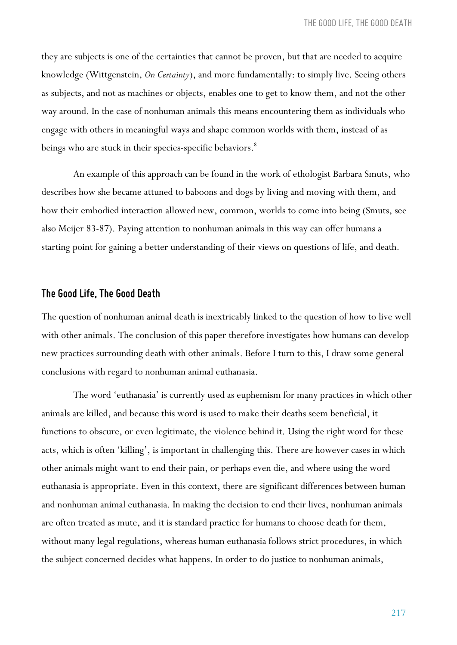they are subjects is one of the certainties that cannot be proven, but that are needed to acquire knowledge (Wittgenstein, *On Certainty*), and more fundamentally: to simply live. Seeing others as subjects, and not as machines or objects, enables one to get to know them, and not the other way around. In the case of nonhuman animals this means encountering them as individuals who engage with others in meaningful ways and shape common worlds with them, instead of as beings who are stuck in their species-specific behaviors.<sup>8</sup>

An example of this approach can be found in the work of ethologist Barbara Smuts, who describes how she became attuned to baboons and dogs by living and moving with them, and how their embodied interaction allowed new, common, worlds to come into being (Smuts, see also Meijer 83-87). Paying attention to nonhuman animals in this way can offer humans a starting point for gaining a better understanding of their views on questions of life, and death.

#### *The Good Life, The Good Death*

The question of nonhuman animal death is inextricably linked to the question of how to live well with other animals. The conclusion of this paper therefore investigates how humans can develop new practices surrounding death with other animals. Before I turn to this, I draw some general conclusions with regard to nonhuman animal euthanasia.

The word 'euthanasia' is currently used as euphemism for many practices in which other animals are killed, and because this word is used to make their deaths seem beneficial, it functions to obscure, or even legitimate, the violence behind it. Using the right word for these acts, which is often 'killing', is important in challenging this. There are however cases in which other animals might want to end their pain, or perhaps even die, and where using the word euthanasia is appropriate. Even in this context, there are significant differences between human and nonhuman animal euthanasia. In making the decision to end their lives, nonhuman animals are often treated as mute, and it is standard practice for humans to choose death for them, without many legal regulations, whereas human euthanasia follows strict procedures, in which the subject concerned decides what happens. In order to do justice to nonhuman animals,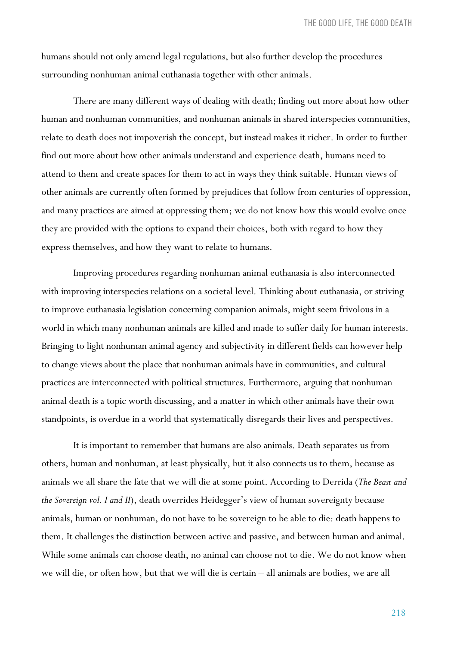humans should not only amend legal regulations, but also further develop the procedures surrounding nonhuman animal euthanasia together with other animals.

There are many different ways of dealing with death; finding out more about how other human and nonhuman communities, and nonhuman animals in shared interspecies communities, relate to death does not impoverish the concept, but instead makes it richer. In order to further find out more about how other animals understand and experience death, humans need to attend to them and create spaces for them to act in ways they think suitable. Human views of other animals are currently often formed by prejudices that follow from centuries of oppression, and many practices are aimed at oppressing them; we do not know how this would evolve once they are provided with the options to expand their choices, both with regard to how they express themselves, and how they want to relate to humans.

Improving procedures regarding nonhuman animal euthanasia is also interconnected with improving interspecies relations on a societal level. Thinking about euthanasia, or striving to improve euthanasia legislation concerning companion animals, might seem frivolous in a world in which many nonhuman animals are killed and made to suffer daily for human interests. Bringing to light nonhuman animal agency and subjectivity in different fields can however help to change views about the place that nonhuman animals have in communities, and cultural practices are interconnected with political structures. Furthermore, arguing that nonhuman animal death is a topic worth discussing, and a matter in which other animals have their own standpoints, is overdue in a world that systematically disregards their lives and perspectives.

It is important to remember that humans are also animals. Death separates us from others, human and nonhuman, at least physically, but it also connects us to them, because as animals we all share the fate that we will die at some point. According to Derrida (*The Beast and the Sovereign vol. I and II*), death overrides Heidegger's view of human sovereignty because animals, human or nonhuman, do not have to be sovereign to be able to die: death happens to them. It challenges the distinction between active and passive, and between human and animal. While some animals can choose death, no animal can choose not to die. We do not know when we will die, or often how, but that we will die is certain – all animals are bodies, we are all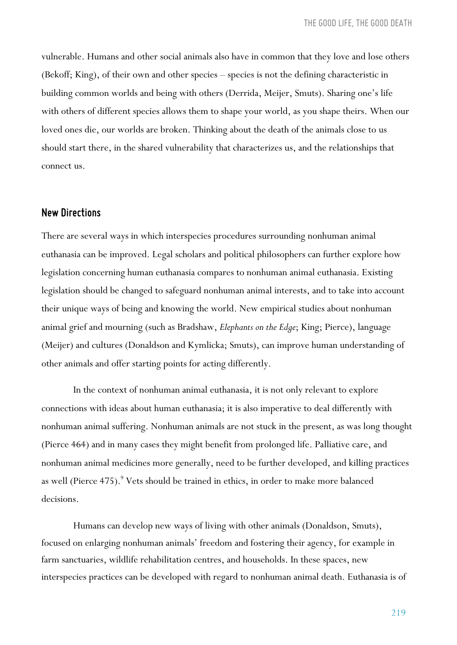*THE GOOD LIFE, THE GOOD DEATH*

vulnerable. Humans and other social animals also have in common that they love and lose others (Bekoff; King), of their own and other species – species is not the defining characteristic in building common worlds and being with others (Derrida, Meijer, Smuts). Sharing one's life with others of different species allows them to shape your world, as you shape theirs. When our loved ones die, our worlds are broken. Thinking about the death of the animals close to us should start there, in the shared vulnerability that characterizes us, and the relationships that connect us.

## *New Directions*

There are several ways in which interspecies procedures surrounding nonhuman animal euthanasia can be improved. Legal scholars and political philosophers can further explore how legislation concerning human euthanasia compares to nonhuman animal euthanasia. Existing legislation should be changed to safeguard nonhuman animal interests, and to take into account their unique ways of being and knowing the world. New empirical studies about nonhuman animal grief and mourning (such as Bradshaw, *Elephants on the Edge*; King; Pierce), language (Meijer) and cultures (Donaldson and Kymlicka; Smuts), can improve human understanding of other animals and offer starting points for acting differently.

In the context of nonhuman animal euthanasia, it is not only relevant to explore connections with ideas about human euthanasia; it is also imperative to deal differently with nonhuman animal suffering. Nonhuman animals are not stuck in the present, as was long thought (Pierce 464) and in many cases they might benefit from prolonged life. Palliative care, and nonhuman animal medicines more generally, need to be further developed, and killing practices as well (Pierce 475).<sup>9</sup> Vets should be trained in ethics, in order to make more balanced decisions.

Humans can develop new ways of living with other animals (Donaldson, Smuts), focused on enlarging nonhuman animals' freedom and fostering their agency, for example in farm sanctuaries, wildlife rehabilitation centres, and households. In these spaces, new interspecies practices can be developed with regard to nonhuman animal death. Euthanasia is of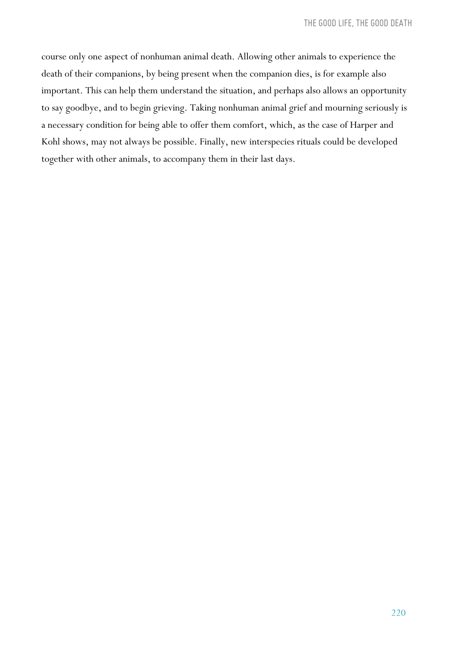course only one aspect of nonhuman animal death. Allowing other animals to experience the death of their companions, by being present when the companion dies, is for example also important. This can help them understand the situation, and perhaps also allows an opportunity to say goodbye, and to begin grieving. Taking nonhuman animal grief and mourning seriously is a necessary condition for being able to offer them comfort, which, as the case of Harper and Kohl shows, may not always be possible. Finally, new interspecies rituals could be developed together with other animals, to accompany them in their last days.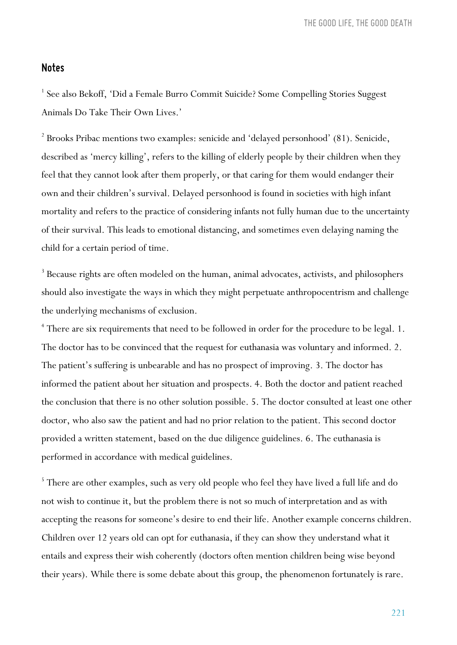*THE GOOD LIFE, THE GOOD DEATH*

## *Notes*

<sup>1</sup> See also Bekoff, 'Did a Female Burro Commit Suicide? Some Compelling Stories Suggest Animals Do Take Their Own Lives.'

 $2$  Brooks Pribac mentions two examples: senicide and 'delayed personhood' (81). Senicide, described as 'mercy killing', refers to the killing of elderly people by their children when they feel that they cannot look after them properly, or that caring for them would endanger their own and their children's survival. Delayed personhood is found in societies with high infant mortality and refers to the practice of considering infants not fully human due to the uncertainty of their survival. This leads to emotional distancing, and sometimes even delaying naming the child for a certain period of time.

<sup>3</sup> Because rights are often modeled on the human, animal advocates, activists, and philosophers should also investigate the ways in which they might perpetuate anthropocentrism and challenge the underlying mechanisms of exclusion.

<sup>4</sup> There are six requirements that need to be followed in order for the procedure to be legal. 1. The doctor has to be convinced that the request for euthanasia was voluntary and informed. 2. The patient's suffering is unbearable and has no prospect of improving. 3. The doctor has informed the patient about her situation and prospects. 4. Both the doctor and patient reached the conclusion that there is no other solution possible. 5. The doctor consulted at least one other doctor, who also saw the patient and had no prior relation to the patient. This second doctor provided a written statement, based on the due diligence guidelines. 6. The euthanasia is performed in accordance with medical guidelines.

<sup>5</sup> There are other examples, such as very old people who feel they have lived a full life and do not wish to continue it, but the problem there is not so much of interpretation and as with accepting the reasons for someone's desire to end their life. Another example concerns children. Children over 12 years old can opt for euthanasia, if they can show they understand what it entails and express their wish coherently (doctors often mention children being wise beyond their years). While there is some debate about this group, the phenomenon fortunately is rare.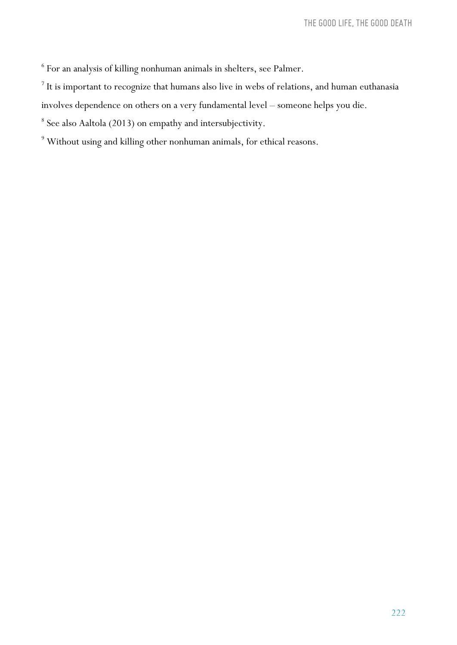$^{\rm 6}$  For an analysis of killing nonhuman animals in shelters, see Palmer.

 $7$  It is important to recognize that humans also live in webs of relations, and human euthanasia

involves dependence on others on a very fundamental level – someone helps you die.

 $^8$  See also Aaltola (2013) on empathy and intersubjectivity.

 $^9$  Without using and killing other nonhuman animals, for ethical reasons.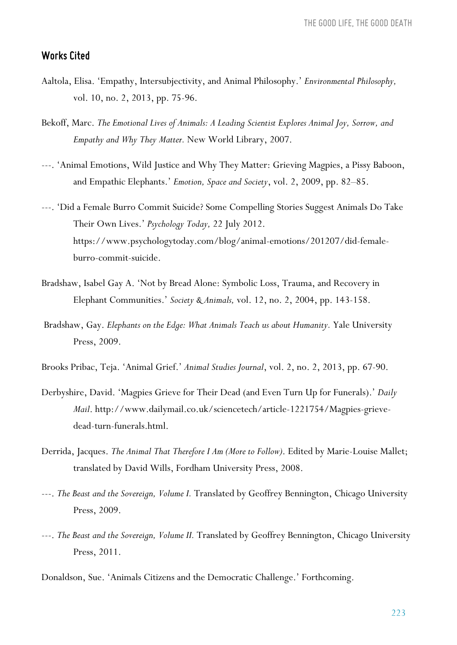### *Works Cited*

- Aaltola, Elisa. 'Empathy, Intersubjectivity, and Animal Philosophy.' *Environmental Philosophy,* vol. 10, no. 2, 2013, pp. 75-96.
- Bekoff, Marc. *The Emotional Lives of Animals: A Leading Scientist Explores Animal Joy, Sorrow, and Empathy and Why They Matter.* New World Library, 2007.
- ---. 'Animal Emotions, Wild Justice and Why They Matter: Grieving Magpies, a Pissy Baboon, and Empathic Elephants.' *Emotion, Space and Society*, vol. 2, 2009, pp. 82–85.
- ---. 'Did a Female Burro Commit Suicide? Some Compelling Stories Suggest Animals Do Take Their Own Lives.' *Psychology Today,* 22 July 2012. https://www.psychologytoday.com/blog/animal-emotions/201207/did-femaleburro-commit-suicide.
- Bradshaw, Isabel Gay A. 'Not by Bread Alone: Symbolic Loss, Trauma, and Recovery in Elephant Communities.' *Society & Animals,* vol. 12, no. 2, 2004, pp. 143-158.
- Bradshaw, Gay. *Elephants on the Edge: What Animals Teach us about Humanity*. Yale University Press, 2009.
- Brooks Pribac, Teja. 'Animal Grief.' *Animal Studies Journal*, vol. 2, no. 2, 2013, pp. 67-90.
- Derbyshire, David. 'Magpies Grieve for Their Dead (and Even Turn Up for Funerals).' *Daily Mail*. http://www.dailymail.co.uk/sciencetech/article-1221754/Magpies-grievedead-turn-funerals.html.
- Derrida, Jacques. *The Animal That Therefore I Am (More to Follow)*. Edited by Marie-Louise Mallet; translated by David Wills, Fordham University Press, 2008.
- ---. *The Beast and the Sovereign, Volume I.* Translated by Geoffrey Bennington, Chicago University Press, 2009.
- ---. *The Beast and the Sovereign, Volume II.* Translated by Geoffrey Bennington, Chicago University Press, 2011.
- Donaldson, Sue. 'Animals Citizens and the Democratic Challenge.' Forthcoming.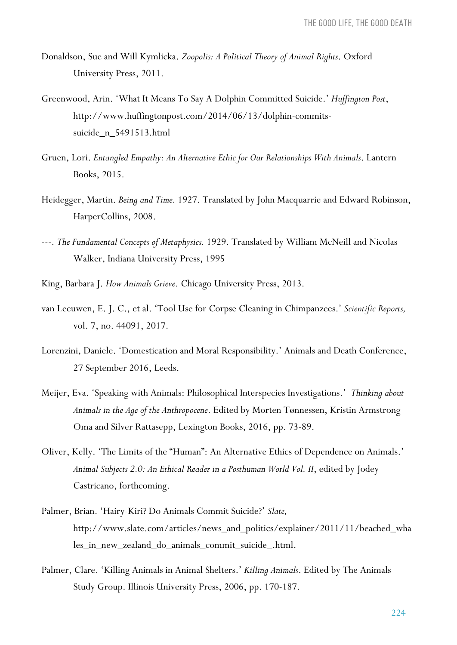- Donaldson, Sue and Will Kymlicka. *Zoopolis: A Political Theory of Animal Rights*. Oxford University Press, 2011.
- Greenwood, Arin. 'What It Means To Say A Dolphin Committed Suicide.' *Huffington Post*, http://www.huffingtonpost.com/2014/06/13/dolphin-commitssuicide\_n\_5491513.html
- Gruen, Lori. *Entangled Empathy: An Alternative Ethic for Our Relationships With Animals*. Lantern Books, 2015.
- Heidegger, Martin. *Being and Time.* 1927. Translated by John Macquarrie and Edward Robinson, HarperCollins, 2008.
- ---. *The Fundamental Concepts of Metaphysics.* 1929. Translated by William McNeill and Nicolas Walker, Indiana University Press, 1995
- King, Barbara J. *How Animals Grieve*. Chicago University Press, 2013.
- van Leeuwen, E. J. C., et al. 'Tool Use for Corpse Cleaning in Chimpanzees.' *Scientific Reports,* vol. 7, no. 44091, 2017.
- Lorenzini, Daniele. 'Domestication and Moral Responsibility.' Animals and Death Conference, 27 September 2016, Leeds.
- Meijer, Eva. 'Speaking with Animals: Philosophical Interspecies Investigations.' *Thinking about Animals in the Age of the Anthropocene*. Edited by Morten Tønnessen, Kristin Armstrong Oma and Silver Rattasepp, Lexington Books, 2016, pp. 73-89.
- Oliver, Kelly. 'The Limits of the "Human": An Alternative Ethics of Dependence on Animals.' *Animal Subjects 2.0: An Ethical Reader in a Posthuman World Vol. II*, edited by Jodey Castricano, forthcoming.
- Palmer, Brian. 'Hairy-Kiri? Do Animals Commit Suicide?' *Slate,* http://www.slate.com/articles/news\_and\_politics/explainer/2011/11/beached\_wha les\_in\_new\_zealand\_do\_animals\_commit\_suicide\_.html.
- Palmer, Clare. 'Killing Animals in Animal Shelters.' *Killing Animals*. Edited by The Animals Study Group. Illinois University Press, 2006, pp. 170-187.